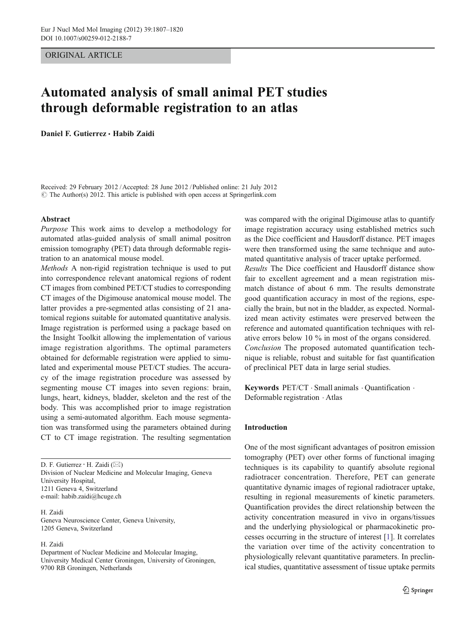# ORIGINAL ARTICLE

# Automated analysis of small animal PET studies through deformable registration to an atlas

Daniel F. Gutierrez · Habib Zaidi

Received: 29 February 2012 /Accepted: 28 June 2012 / Published online: 21 July 2012  $\odot$  The Author(s) 2012. This article is published with open access at Springerlink.com

#### Abstract

Purpose This work aims to develop a methodology for automated atlas-guided analysis of small animal positron emission tomography (PET) data through deformable registration to an anatomical mouse model.

Methods A non-rigid registration technique is used to put into correspondence relevant anatomical regions of rodent CT images from combined PET/CT studies to corresponding CT images of the Digimouse anatomical mouse model. The latter provides a pre-segmented atlas consisting of 21 anatomical regions suitable for automated quantitative analysis. Image registration is performed using a package based on the Insight Toolkit allowing the implementation of various image registration algorithms. The optimal parameters obtained for deformable registration were applied to simulated and experimental mouse PET/CT studies. The accuracy of the image registration procedure was assessed by segmenting mouse CT images into seven regions: brain, lungs, heart, kidneys, bladder, skeleton and the rest of the body. This was accomplished prior to image registration using a semi-automated algorithm. Each mouse segmentation was transformed using the parameters obtained during CT to CT image registration. The resulting segmentation

D. F. Gutierrez  $\cdot$  H. Zaidi ( $\boxtimes$ ) Division of Nuclear Medicine and Molecular Imaging, Geneva University Hospital, 1211 Geneva 4, Switzerland e-mail: habib.zaidi@hcuge.ch

H. Zaidi Geneva Neuroscience Center, Geneva University, 1205 Geneva, Switzerland

## H. Zaidi

Department of Nuclear Medicine and Molecular Imaging, University Medical Center Groningen, University of Groningen, 9700 RB Groningen, Netherlands

was compared with the original Digimouse atlas to quantify image registration accuracy using established metrics such as the Dice coefficient and Hausdorff distance. PET images were then transformed using the same technique and automated quantitative analysis of tracer uptake performed. Results The Dice coefficient and Hausdorff distance show fair to excellent agreement and a mean registration mismatch distance of about 6 mm. The results demonstrate good quantification accuracy in most of the regions, especially the brain, but not in the bladder, as expected. Normalized mean activity estimates were preserved between the reference and automated quantification techniques with relative errors below 10 % in most of the organs considered. Conclusion The proposed automated quantification technique is reliable, robust and suitable for fast quantification of preclinical PET data in large serial studies.

Keywords PET/CT . Small animals . Quantification . Deformable registration . Atlas

## Introduction

One of the most significant advantages of positron emission tomography (PET) over other forms of functional imaging techniques is its capability to quantify absolute regional radiotracer concentration. Therefore, PET can generate quantitative dynamic images of regional radiotracer uptake, resulting in regional measurements of kinetic parameters. Quantification provides the direct relationship between the activity concentration measured in vivo in organs/tissues and the underlying physiological or pharmacokinetic processes occurring in the structure of interest [[1\]](#page-12-0). It correlates the variation over time of the activity concentration to physiologically relevant quantitative parameters. In preclinical studies, quantitative assessment of tissue uptake permits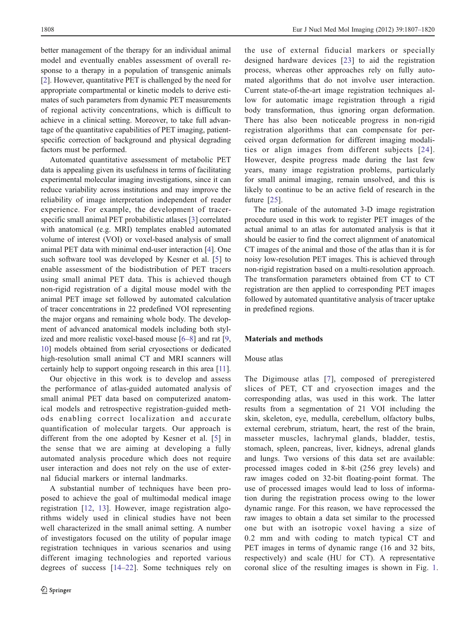better management of the therapy for an individual animal model and eventually enables assessment of overall response to a therapy in a population of transgenic animals [\[2](#page-12-0)]. However, quantitative PET is challenged by the need for appropriate compartmental or kinetic models to derive estimates of such parameters from dynamic PET measurements of regional activity concentrations, which is difficult to achieve in a clinical setting. Moreover, to take full advantage of the quantitative capabilities of PET imaging, patientspecific correction of background and physical degrading factors must be performed.

Automated quantitative assessment of metabolic PET data is appealing given its usefulness in terms of facilitating experimental molecular imaging investigations, since it can reduce variability across institutions and may improve the reliability of image interpretation independent of reader experience. For example, the development of tracerspecific small animal PET probabilistic atlases [\[3](#page-12-0)] correlated with anatomical (e.g. MRI) templates enabled automated volume of interest (VOI) or voxel-based analysis of small animal PET data with minimal end-user interaction [\[4](#page-12-0)]. One such software tool was developed by Kesner et al. [\[5](#page-12-0)] to enable assessment of the biodistribution of PET tracers using small animal PET data. This is achieved though non-rigid registration of a digital mouse model with the animal PET image set followed by automated calculation of tracer concentrations in 22 predefined VOI representing the major organs and remaining whole body. The development of advanced anatomical models including both stylized and more realistic voxel-based mouse [\[6](#page-12-0)–[8](#page-12-0)] and rat [[9,](#page-12-0) [10](#page-12-0)] models obtained from serial cryosections or dedicated high-resolution small animal CT and MRI scanners will certainly help to support ongoing research in this area [[11](#page-12-0)].

Our objective in this work is to develop and assess the performance of atlas-guided automated analysis of small animal PET data based on computerized anatomical models and retrospective registration-guided methods enabling correct localization and accurate quantification of molecular targets. Our approach is different from the one adopted by Kesner et al. [[5](#page-12-0)] in the sense that we are aiming at developing a fully automated analysis procedure which does not require user interaction and does not rely on the use of external fiducial markers or internal landmarks.

A substantial number of techniques have been proposed to achieve the goal of multimodal medical image registration [\[12](#page-12-0), [13](#page-12-0)]. However, image registration algorithms widely used in clinical studies have not been well characterized in the small animal setting. A number of investigators focused on the utility of popular image registration techniques in various scenarios and using different imaging technologies and reported various degrees of success [[14](#page-12-0)–[22](#page-12-0)]. Some techniques rely on the use of external fiducial markers or specially designed hardware devices [[23](#page-12-0)] to aid the registration process, whereas other approaches rely on fully automated algorithms that do not involve user interaction. Current state-of-the-art image registration techniques allow for automatic image registration through a rigid body transformation, thus ignoring organ deformation. There has also been noticeable progress in non-rigid registration algorithms that can compensate for perceived organ deformation for different imaging modalities or align images from different subjects [[24](#page-12-0)]. However, despite progress made during the last few years, many image registration problems, particularly for small animal imaging, remain unsolved, and this is likely to continue to be an active field of research in the future [[25](#page-12-0)].

The rationale of the automated 3-D image registration procedure used in this work to register PET images of the actual animal to an atlas for automated analysis is that it should be easier to find the correct alignment of anatomical CT images of the animal and those of the atlas than it is for noisy low-resolution PET images. This is achieved through non-rigid registration based on a multi-resolution approach. The transformation parameters obtained from CT to CT registration are then applied to corresponding PET images followed by automated quantitative analysis of tracer uptake in predefined regions.

## Materials and methods

## Mouse atlas

The Digimouse atlas [[7](#page-12-0)], composed of preregistered slices of PET, CT and cryosection images and the corresponding atlas, was used in this work. The latter results from a segmentation of 21 VOI including the skin, skeleton, eye, medulla, cerebellum, olfactory bulbs, external cerebrum, striatum, heart, the rest of the brain, masseter muscles, lachrymal glands, bladder, testis, stomach, spleen, pancreas, liver, kidneys, adrenal glands and lungs. Two versions of this data set are available: processed images coded in 8-bit (256 grey levels) and raw images coded on 32-bit floating-point format. The use of processed images would lead to loss of information during the registration process owing to the lower dynamic range. For this reason, we have reprocessed the raw images to obtain a data set similar to the processed one but with an isotropic voxel having a size of 0.2 mm and with coding to match typical CT and PET images in terms of dynamic range (16 and 32 bits, respectively) and scale (HU for CT). A representative coronal slice of the resulting images is shown in Fig. [1](#page-2-0).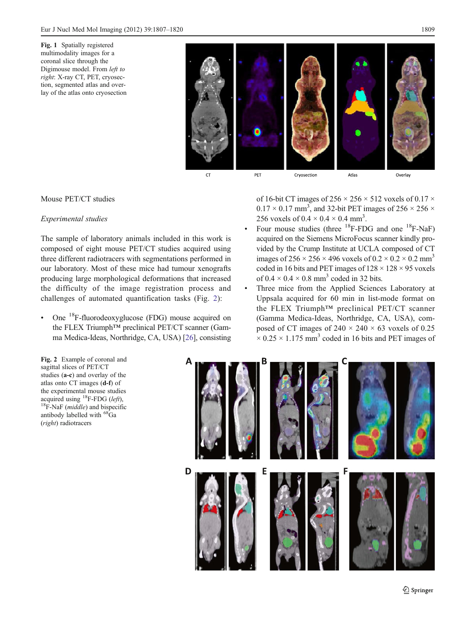<span id="page-2-0"></span>Fig. 1 Spatially registered multimodality images for a coronal slice through the Digimouse model. From left to right: X-ray CT, PET, cryosection, segmented atlas and overlay of the atlas onto cryosection



#### Mouse PET/CT studies

# Experimental studies

The sample of laboratory animals included in this work is composed of eight mouse PET/CT studies acquired using three different radiotracers with segmentations performed in our laboratory. Most of these mice had tumour xenografts producing large morphological deformations that increased the difficulty of the image registration process and challenges of automated quantification tasks (Fig. 2):

 $\cdot$  One <sup>18</sup>F-fluorodeoxyglucose (FDG) mouse acquired on the FLEX Triumph<sup>™</sup> preclinical PET/CT scanner (Gamma Medica-Ideas, Northridge, CA, USA) [\[26\]](#page-12-0), consisting

Fig. 2 Example of coronal and sagittal slices of PET/CT studies (a-c) and overlay of the atlas onto CT images (d-f) of the experimental mouse studies<br>acquired using  ${}^{18}$ F-FDG (left),  $18F-NaF$  (middle) and bispecific antibody labelled with 68Ga (right) radiotracers

of 16-bit CT images of 256  $\times$  256  $\times$  512 voxels of 0.17  $\times$  $0.17 \times 0.17$  mm<sup>3</sup>, and 32-bit PET images of 256  $\times$  256  $\times$ 256 voxels of  $0.4 \times 0.4 \times 0.4$  mm<sup>3</sup>.

- Four mouse studies (three  $^{18}$ F-FDG and one  $^{18}$ F-NaF) acquired on the Siemens MicroFocus scanner kindly provided by the Crump Institute at UCLA composed of CT images of  $256 \times 256 \times 496$  voxels of  $0.2 \times 0.2 \times 0.2$  mm<sup>3</sup> coded in 16 bits and PET images of  $128 \times 128 \times 95$  voxels of  $0.4 \times 0.4 \times 0.8$  mm<sup>3</sup> coded in 32 bits.
- Three mice from the Applied Sciences Laboratory at Uppsala acquired for 60 min in list-mode format on the FLEX Triumph™ preclinical PET/CT scanner (Gamma Medica-Ideas, Northridge, CA, USA), composed of CT images of  $240 \times 240 \times 63$  voxels of 0.25  $\times$  0.25  $\times$  1.175 mm<sup>3</sup> coded in 16 bits and PET images of

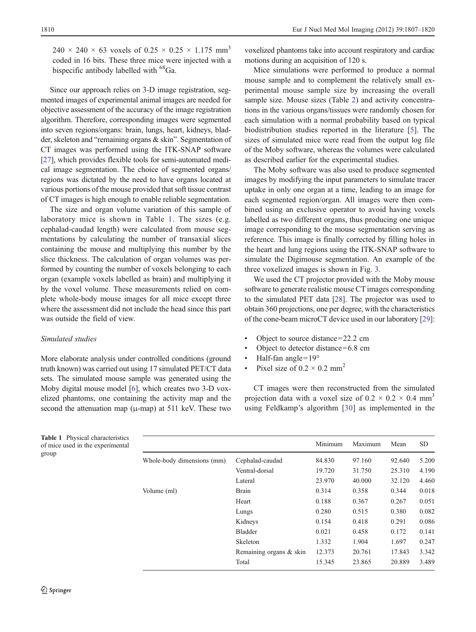$240 \times 240 \times 63$  voxels of  $0.25 \times 0.25 \times 1.175$  mm<sup>3</sup> coded in 16 bits. These three mice were injected with a bispecific antibody labelled with <sup>68</sup>Ga.

Since our approach relies on 3-D image registration, segmented images of experimental animal images are needed for objective assessment of the accuracy of the image registration algorithm. Therefore, corresponding images were segmented into seven regions/organs: brain, lungs, heart, kidneys, bladder, skeleton and "remaining organs & skin". Segmentation of CT images was performed using the ITK-SNAP software [\[27\]](#page-12-0), which provides flexible tools for semi-automated medical image segmentation. The choice of segmented organs/ regions was dictated by the need to have organs located at various portions of the mouse provided that soft tissue contrast of CT images is high enough to enable reliable segmentation.

The size and organ volume variation of this sample of laboratory mice is shown in Table 1. The sizes (e.g. cephalad-caudad length) were calculated from mouse segmentations by calculating the number of transaxial slices containing the mouse and multiplying this number by the slice thickness. The calculation of organ volumes was performed by counting the number of voxels belonging to each organ (example voxels labelled as brain) and multiplying it by the voxel volume. These measurements relied on complete whole-body mouse images for all mice except three where the assessment did not include the head since this part was outside the field of view.

## Simulated studies

More elaborate analysis under controlled conditions (ground truth known) was carried out using 17 simulated PET/CT data sets. The simulated mouse sample was generated using the Moby digital mouse model [[6\]](#page-12-0), which creates two 3-D voxelized phantoms, one containing the activity map and the second the attenuation map  $(\mu$ -map) at 511 keV. These two

voxelized phantoms take into account respiratory and cardiac motions during an acquisition of 120 s.

Mice simulations were performed to produce a normal mouse sample and to complement the relatively small experimental mouse sample size by increasing the overall sample size. Mouse sizes (Table [2](#page-4-0)) and activity concentrations in the various organs/tissues were randomly chosen for each simulation with a normal probability based on typical biodistribution studies reported in the literature [\[5](#page-12-0)]. The sizes of simulated mice were read from the output log file of the Moby software, whereas the volumes were calculated as described earlier for the experimental studies.

The Moby software was also used to produce segmented images by modifying the input parameters to simulate tracer uptake in only one organ at a time, leading to an image for each segmented region/organ. All images were then combined using an exclusive operator to avoid having voxels labelled as two different organs, thus producing one unique image corresponding to the mouse segmentation serving as reference. This image is finally corrected by filling holes in the heart and lung regions using the ITK-SNAP software to simulate the Digimouse segmentation. An example of the three voxelized images is shown in Fig. [3](#page-5-0).

We used the CT projector provided with the Moby mouse software to generate realistic mouse CT images corresponding to the simulated PET data [\[28\]](#page-12-0). The projector was used to obtain 360 projections, one per degree, with the characteristics of the cone-beam microCT device used in our laboratory [[29](#page-12-0)]:

- Object to source distance= $22.2$  cm
- Object to detector distance= $6.8$  cm
- Half-fan angle= $19°$
- Pixel size of  $0.2 \times 0.2$  mm<sup>2</sup>

CT images were then reconstructed from the simulated projection data with a voxel size of  $0.2 \times 0.2 \times 0.4$  mm<sup>3</sup> using Feldkamp's algorithm [\[30\]](#page-12-0) as implemented in the

|                            |                         | Minimum | Maximum | Mean   | <b>SD</b> |
|----------------------------|-------------------------|---------|---------|--------|-----------|
| Whole-body dimensions (mm) | Cephalad-caudad         | 84.830  | 97.160  | 92.640 | 5.200     |
|                            | Ventral-dorsal          | 19.720  | 31.750  | 25.310 | 4.190     |
|                            | Lateral                 | 23.970  | 40.000  | 32.120 | 4.460     |
| Volume (ml)                | <b>Brain</b>            | 0.314   | 0.358   | 0.344  | 0.018     |
|                            | Heart                   | 0.188   | 0.367   | 0.267  | 0.051     |
|                            | Lungs                   | 0.280   | 0.515   | 0.380  | 0.082     |
|                            | Kidneys                 | 0.154   | 0.418   | 0.291  | 0.086     |
|                            | <b>Bladder</b>          | 0.021   | 0.458   | 0.172  | 0.141     |
|                            | Skeleton                | 1.332   | 1.904   | 1.697  | 0.247     |
|                            | Remaining organs & skin | 12.373  | 20.761  | 17.843 | 3.342     |
|                            | Total                   | 15.345  | 23.865  | 20.889 | 3.489     |
|                            |                         |         |         |        |           |

Table 1 Physical characteristics of mice used in the experimental group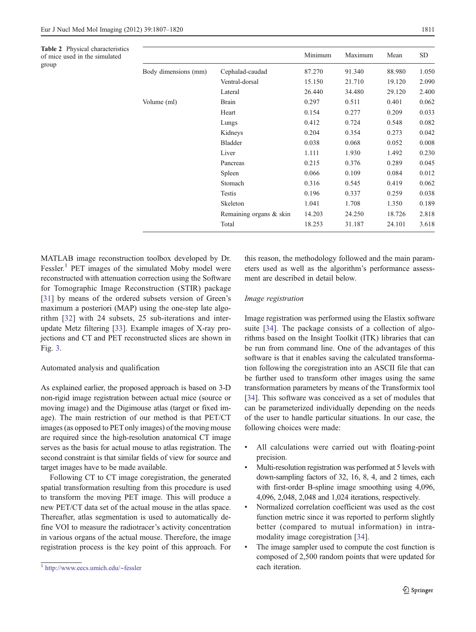<span id="page-4-0"></span>

|       | <b>Table 2</b> Physical characteristics |
|-------|-----------------------------------------|
|       | of mice used in the simulated           |
| group |                                         |

|                      |                         | Minimum | Maximum | Mean   | SD    |
|----------------------|-------------------------|---------|---------|--------|-------|
| Body dimensions (mm) | Cephalad-caudad         | 87.270  | 91.340  | 88.980 | 1.050 |
|                      | Ventral-dorsal          | 15.150  | 21.710  | 19.120 | 2.090 |
|                      | Lateral                 | 26.440  | 34.480  | 29.120 | 2.400 |
| Volume (ml)          | Brain                   | 0.297   | 0.511   | 0.401  | 0.062 |
|                      | Heart                   | 0.154   | 0.277   | 0.209  | 0.033 |
|                      | Lungs                   | 0.412   | 0.724   | 0.548  | 0.082 |
|                      | Kidneys                 | 0.204   | 0.354   | 0.273  | 0.042 |
|                      | <b>Bladder</b>          | 0.038   | 0.068   | 0.052  | 0.008 |
|                      | Liver                   | 1.111   | 1.930   | 1.492  | 0.230 |
|                      | Pancreas                | 0.215   | 0.376   | 0.289  | 0.045 |
|                      | Spleen                  | 0.066   | 0.109   | 0.084  | 0.012 |
|                      | Stomach                 | 0.316   | 0.545   | 0.419  | 0.062 |
|                      | <b>Testis</b>           | 0.196   | 0.337   | 0.259  | 0.038 |
|                      | Skeleton                | 1.041   | 1.708   | 1.350  | 0.189 |
|                      | Remaining organs & skin | 14.203  | 24.250  | 18.726 | 2.818 |
|                      | Total                   | 18.253  | 31.187  | 24.101 | 3.618 |

MATLAB image reconstruction toolbox developed by Dr. Fessler.<sup>1</sup> PET images of the simulated Moby model were reconstructed with attenuation correction using the Software for Tomographic Image Reconstruction (STIR) package [\[31](#page-12-0)] by means of the ordered subsets version of Green's maximum a posteriori (MAP) using the one-step late algorithm [[32](#page-12-0)] with 24 subsets, 25 sub-iterations and interupdate Metz filtering [[33\]](#page-13-0). Example images of X-ray projections and CT and PET reconstructed slices are shown in Fig. [3.](#page-5-0)

#### Automated analysis and qualification

As explained earlier, the proposed approach is based on 3-D non-rigid image registration between actual mice (source or moving image) and the Digimouse atlas (target or fixed image). The main restriction of our method is that PET/CT images (as opposed to PET only images) of the moving mouse are required since the high-resolution anatomical CT image serves as the basis for actual mouse to atlas registration. The second constraint is that similar fields of view for source and target images have to be made available.

Following CT to CT image coregistration, the generated spatial transformation resulting from this procedure is used to transform the moving PET image. This will produce a new PET/CT data set of the actual mouse in the atlas space. Thereafter, atlas segmentation is used to automatically define VOI to measure the radiotracer's activity concentration in various organs of the actual mouse. Therefore, the image registration process is the key point of this approach. For this reason, the methodology followed and the main parameters used as well as the algorithm's performance assessment are described in detail below.

#### Image registration

Image registration was performed using the Elastix software suite [[34\]](#page-13-0). The package consists of a collection of algorithms based on the Insight Toolkit (ITK) libraries that can be run from command line. One of the advantages of this software is that it enables saving the calculated transformation following the coregistration into an ASCII file that can be further used to transform other images using the same transformation parameters by means of the Transformix tool [\[34](#page-13-0)]. This software was conceived as a set of modules that can be parameterized individually depending on the needs of the user to handle particular situations. In our case, the following choices were made:

- All calculations were carried out with floating-point precision.
- & Multi-resolution registration was performed at 5 levels with down-sampling factors of 32, 16, 8, 4, and 2 times, each with first-order B-spline image smoothing using 4,096, 4,096, 2,048, 2,048 and 1,024 iterations, respectively.
- Normalized correlation coefficient was used as the cost function metric since it was reported to perform slightly better (compared to mutual information) in intramodality image coregistration [[34\]](#page-13-0).
- The image sampler used to compute the cost function is composed of 2,500 random points that were updated for

each iteration. <sup>1</sup> [http://www.eecs.umich.edu/](http://www.eecs.umich.edu/<fessler)∼fessler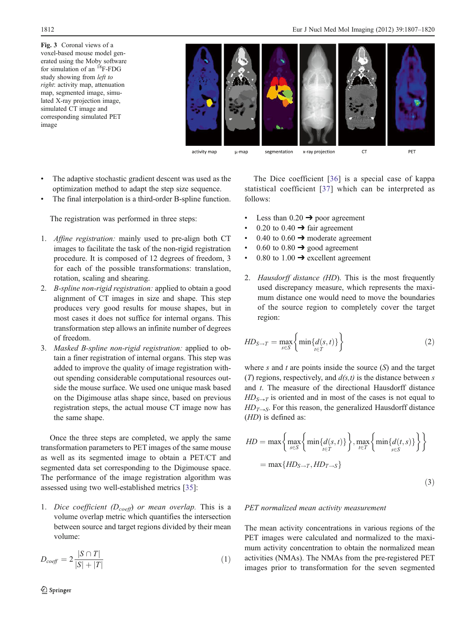<span id="page-5-0"></span>Fig. 3 Coronal views of a voxel-based mouse model generated using the Moby software for simulation of an 18F-FDG study showing from left to right: activity map, attenuation map, segmented image, simulated X-ray projection image, simulated CT image and corresponding simulated PET image



- The adaptive stochastic gradient descent was used as the optimization method to adapt the step size sequence.
- The final interpolation is a third-order B-spline function.

The registration was performed in three steps:

- 1. Affine registration: mainly used to pre-align both CT images to facilitate the task of the non-rigid registration procedure. It is composed of 12 degrees of freedom, 3 for each of the possible transformations: translation, rotation, scaling and shearing.
- 2. B-spline non-rigid registration: applied to obtain a good alignment of CT images in size and shape. This step produces very good results for mouse shapes, but in most cases it does not suffice for internal organs. This transformation step allows an infinite number of degrees of freedom.
- 3. Masked B-spline non-rigid registration: applied to obtain a finer registration of internal organs. This step was added to improve the quality of image registration without spending considerable computational resources outside the mouse surface. We used one unique mask based on the Digimouse atlas shape since, based on previous registration steps, the actual mouse CT image now has the same shape.

Once the three steps are completed, we apply the same transformation parameters to PET images of the same mouse as well as its segmented image to obtain a PET/CT and segmented data set corresponding to the Digimouse space. The performance of the image registration algorithm was assessed using two well-established metrics [\[35](#page-13-0)]:

1. Dice coefficient ( $D_{coeff}$ ) or mean overlap. This is a volume overlap metric which quantifies the intersection between source and target regions divided by their mean volume:

$$
D_{\text{coeff}} = 2 \frac{|S \cap T|}{|S| + |T|} \tag{1}
$$

2 Springer

The Dice coefficient [[36](#page-13-0)] is a special case of kappa statistical coefficient [[37\]](#page-13-0) which can be interpreted as follows:

- Less than  $0.20 \rightarrow$  poor agreement
- $0.20$  to  $0.40 \rightarrow$  fair agreement
- 0.40 to 0.60  $\rightarrow$  moderate agreement
- $\cdot$  0.60 to 0.80  $\rightarrow$  good agreement
- $\cdot$  0.80 to 1.00  $\rightarrow$  excellent agreement
- 2. *Hausdorff distance (HD)*. This is the most frequently used discrepancy measure, which represents the maximum distance one would need to move the boundaries of the source region to completely cover the target region:

$$
HD_{S \to T} = \max_{s \in S} \left\{ \min \{ d(s, t) \} \right\} \tag{2}
$$

where s and t are points inside the source  $(S)$  and the target (T) regions, respectively, and  $d(s,t)$  is the distance between s and t. The measure of the directional Hausdorff distance  $HD_{S\rightarrow T}$  is oriented and in most of the cases is not equal to  $HD_{T\rightarrow S}$ . For this reason, the generalized Hausdorff distance (HD) is defined as:

$$
HD = \max \left\{ \max_{s \in S} \left\{ \min \{d(s, t)\} \right\}, \max_{t \in T} \left\{ \min \{d(t, s)\} \right\} \right\}
$$

$$
= \max \{ HD_{S \to T}, HD_{T \to S} \}
$$
(3)

### PET normalized mean activity measurement

The mean activity concentrations in various regions of the PET images were calculated and normalized to the maximum activity concentration to obtain the normalized mean activities (NMAs). The NMAs from the pre-registered PET images prior to transformation for the seven segmented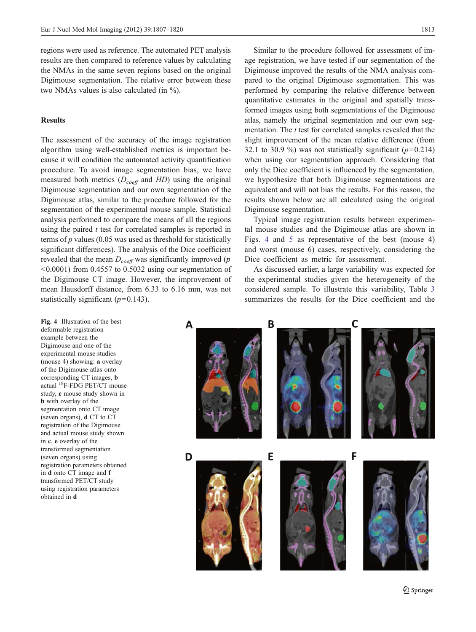<span id="page-6-0"></span>regions were used as reference. The automated PET analysis results are then compared to reference values by calculating the NMAs in the same seven regions based on the original Digimouse segmentation. The relative error between these two NMAs values is also calculated (in %).

# **Results**

The assessment of the accuracy of the image registration algorithm using well-established metrics is important because it will condition the automated activity quantification procedure. To avoid image segmentation bias, we have measured both metrics  $(D_{coeff}$  and HD) using the original Digimouse segmentation and our own segmentation of the Digimouse atlas, similar to the procedure followed for the segmentation of the experimental mouse sample. Statistical analysis performed to compare the means of all the regions using the paired  $t$  test for correlated samples is reported in terms of  $p$  values (0.05 was used as threshold for statistically significant differences). The analysis of the Dice coefficient revealed that the mean  $D_{coeff}$  was significantly improved ( $p$  $\leq$  0.0001) from 0.4557 to 0.5032 using our segmentation of the Digimouse CT image. However, the improvement of mean Hausdorff distance, from 6.33 to 6.16 mm, was not statistically significant ( $p=0.143$ ).

Similar to the procedure followed for assessment of image registration, we have tested if our segmentation of the Digimouse improved the results of the NMA analysis compared to the original Digimouse segmentation. This was performed by comparing the relative difference between quantitative estimates in the original and spatially transformed images using both segmentations of the Digimouse atlas, namely the original segmentation and our own segmentation. The  $t$  test for correlated samples revealed that the slight improvement of the mean relative difference (from 32.1 to 30.9 %) was not statistically significant  $(p=0.214)$ when using our segmentation approach. Considering that only the Dice coefficient is influenced by the segmentation, we hypothesize that both Digimouse segmentations are equivalent and will not bias the results. For this reason, the results shown below are all calculated using the original Digimouse segmentation.

Typical image registration results between experimental mouse studies and the Digimouse atlas are shown in Figs. 4 and [5](#page-7-0) as representative of the best (mouse 4) and worst (mouse 6) cases, respectively, considering the Dice coefficient as metric for assessment.

As discussed earlier, a large variability was expected for the experimental studies given the heterogeneity of the considered sample. To illustrate this variability, Table [3](#page-7-0) summarizes the results for the Dice coefficient and the

Fig. 4 Illustration of the best deformable registration example between the Digimouse and one of the experimental mouse studies (mouse 4) showing: a overlay of the Digimouse atlas onto corresponding CT images, b actual 18F-FDG PET/CT mouse study, c mouse study shown in b with overlay of the segmentation onto CT image (seven organs), d CT to CT registration of the Digimouse and actual mouse study shown in c, e overlay of the transformed segmentation (seven organs) using registration parameters obtained in d onto CT image and f transformed PET/CT study using registration parameters obtained in d

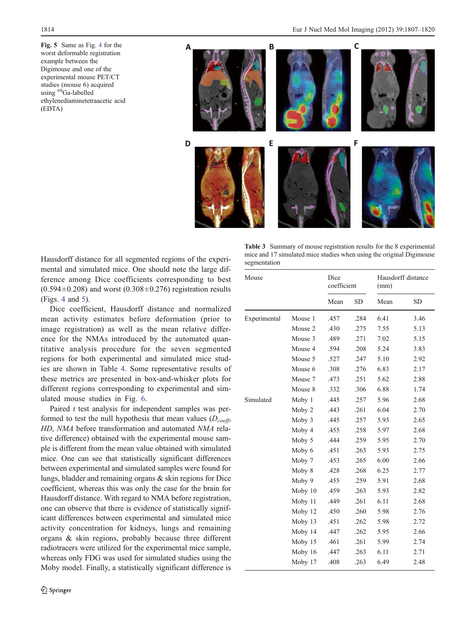<span id="page-7-0"></span>Fig. 5 Same as Fig. [4](#page-6-0) for the worst deformable registration example between the Digimouse and one of the experimental mouse PET/CT studies (mouse 6) acquired using 68Ga-labelled ethylenediaminetetraacetic acid (EDTA)



Hausdorff distance for all segmented regions of the experimental and simulated mice. One should note the large difference among Dice coefficients corresponding to best  $(0.594\pm0.208)$  and worst  $(0.308\pm0.276)$  registration results (Figs. [4](#page-6-0) and 5).

Dice coefficient, Hausdorff distance and normalized mean activity estimates before deformation (prior to image registration) as well as the mean relative difference for the NMAs introduced by the automated quantitative analysis procedure for the seven segmented regions for both experimental and simulated mice studies are shown in Table [4](#page-8-0). Some representative results of these metrics are presented in box-and-whisker plots for different regions corresponding to experimental and simulated mouse studies in Fig. [6.](#page-9-0)

Paired  $t$  test analysis for independent samples was performed to test the null hypothesis that mean values  $(D_{coeff}$ , HD, NMA before transformation and automated NMA relative difference) obtained with the experimental mouse sample is different from the mean value obtained with simulated mice. One can see that statistically significant differences between experimental and simulated samples were found for lungs, bladder and remaining organs & skin regions for Dice coefficient, whereas this was only the case for the brain for Hausdorff distance. With regard to NMA before registration, one can observe that there is evidence of statistically significant differences between experimental and simulated mice activity concentration for kidneys, lungs and remaining organs & skin regions, probably because three different radiotracers were utilized for the experimental mice sample, whereas only FDG was used for simulated studies using the Moby model. Finally, a statistically significant difference is

Table 3 Summary of mouse registration results for the 8 experimental mice and 17 simulated mice studies when using the original Digimouse segmentation

| Mouse        |         | Dice<br>coefficient |           | Hausdorff distance<br>(mm) |           |
|--------------|---------|---------------------|-----------|----------------------------|-----------|
|              |         | Mean                | <b>SD</b> | Mean                       | <b>SD</b> |
| Experimental | Mouse 1 | .457                | .284      | 6.41                       | 3.46      |
|              | Mouse 2 | .430                | .275      | 7.55                       | 5.13      |
|              | Mouse 3 | .489                | .271      | 7.02                       | 5.15      |
|              | Mouse 4 | .594                | .208      | 5.24                       | 3.83      |
|              | Mouse 5 | .527                | .247      | 5.10                       | 2.92      |
|              | Mouse 6 | .308                | .276      | 6.83                       | 2.17      |
|              | Mouse 7 | .473                | .251      | 5.62                       | 2.88      |
|              | Mouse 8 | .332                | .306      | 6.88                       | 1.74      |
| Simulated    | Moby 1  | .445                | .257      | 5.96                       | 2.68      |
|              | Moby 2  | .443                | .261      | 6.04                       | 2.70      |
|              | Moby 3  | .445                | .257      | 5.93                       | 2.65      |
|              | Moby 4  | .455                | .258      | 5.97                       | 2.68      |
|              | Moby 5  | .444                | .259      | 5.95                       | 2.70      |
|              | Moby 6  | .451                | .263      | 5.93                       | 2.75      |
|              | Moby 7  | .453                | .265      | 6.00                       | 2.66      |
|              | Moby 8  | .428                | .268      | 6.25                       | 2.77      |
|              | Moby 9  | .455                | .259      | 5.91                       | 2.68      |
|              | Moby 10 | .459                | .263      | 5.93                       | 2.82      |
|              | Moby 11 | .449                | .261      | 6.11                       | 2.68      |
|              | Moby 12 | .450                | .260      | 5.98                       | 2.76      |
|              | Moby 13 | .451                | .262      | 5.98                       | 2.72      |
|              | Moby 14 | .447                | .262      | 5.95                       | 2.66      |
|              | Moby 15 | .461                | .261      | 5.99                       | 2.74      |
|              | Moby 16 | .447                | .263      | 6.11                       | 2.71      |
|              | Moby 17 | .408                | .263      | 6.49                       | 2.48      |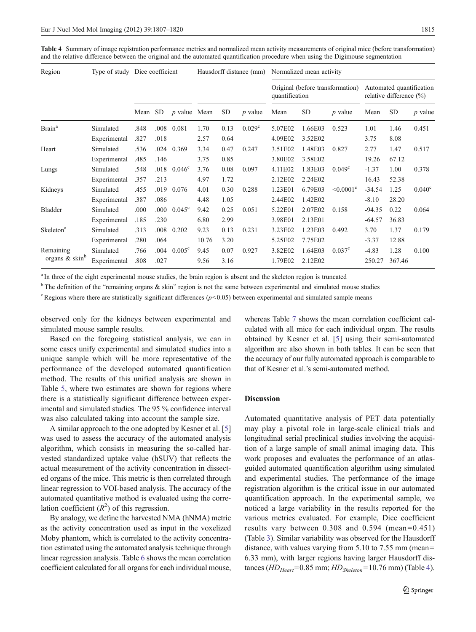<span id="page-8-0"></span>Table 4 Summary of image registration performance metrics and normalized mean activity measurements of original mice (before transformation) and the relative difference between the original and the automated quantification procedure when using the Digimouse segmentation

| Region                    |              | Type of study Dice coefficient |      | Hausdorff distance (mm) |       | Normalized mean activity                           |                    |                                                         |           |                       |          |           |                 |
|---------------------------|--------------|--------------------------------|------|-------------------------|-------|----------------------------------------------------|--------------------|---------------------------------------------------------|-----------|-----------------------|----------|-----------|-----------------|
|                           |              |                                |      |                         |       | Original (before transformation)<br>quantification |                    | Automated quantification<br>relative difference $(\% )$ |           |                       |          |           |                 |
|                           |              | Mean SD                        |      | $p$ value Mean          |       | <b>SD</b>                                          | $p$ value          | Mean                                                    | <b>SD</b> | $p$ value             | Mean     | <b>SD</b> | $p$ value       |
| <b>Brain</b> <sup>a</sup> | Simulated    | .848                           | .008 | 0.081                   | 1.70  | 0.13                                               | 0.029 <sup>c</sup> | 5.07E02                                                 | 1.66E03   | 0.523                 | 1.01     | 1.46      | 0.451           |
|                           | Experimental | .827                           | .018 |                         | 2.57  | 0.64                                               |                    | 4.09E02                                                 | 3.52E02   |                       | 3.75     | 8.08      |                 |
| Heart                     | Simulated    | .536                           | .024 | 0.369                   | 3.34  | 0.47                                               | 0.247              | 3.51E02                                                 | 1.48E03   | 0.827                 | 2.77     | 1.47      | 0.517           |
|                           | Experimental | .485                           | .146 |                         | 3.75  | 0.85                                               |                    | 3.80E02                                                 | 3.58E02   |                       | 19.26    | 67.12     |                 |
| Lungs                     | Simulated    | .548                           | .018 | $0.046^{\circ}$         | 3.76  | 0.08                                               | 0.097              | 4.11E02                                                 | 1.83E03   | $0.049^{\circ}$       | $-1.37$  | 1.00      | 0.378           |
|                           | Experimental | .357                           | .213 |                         | 4.97  | 1.72                                               |                    | 2.12E02                                                 | 2.24E02   |                       | 16.43    | 52.38     |                 |
| Kidneys                   | Simulated    | .455                           | .019 | 0.076                   | 4.01  | 0.30                                               | 0.288              | 1.23E01                                                 | 6.79E03   | $\leq 0.0001^{\circ}$ | $-34.54$ | 1.25      | $0.040^{\circ}$ |
|                           | Experimental | .387                           | .086 |                         | 4.48  | 1.05                                               |                    | 2.44E02                                                 | 1.42E02   |                       | $-8.10$  | 28.20     |                 |
| Bladder                   | Simulated    | .000                           | .000 | $0.045^{\circ}$         | 9.42  | 0.25                                               | 0.051              | 5.22E01                                                 | 2.07E02   | 0.158                 | $-94.35$ | 0.22      | 0.064           |
|                           | Experimental | .185                           | .230 |                         | 6.80  | 2.99                                               |                    | 3.98E01                                                 | 2.13E01   |                       | $-64.57$ | 36.83     |                 |
| Skeleton <sup>a</sup>     | Simulated    | .313                           | .008 | 0.202                   | 9.23  | 0.13                                               | 0.231              | 3.23E02                                                 | 1.23E03   | 0.492                 | 3.70     | 1.37      | 0.179           |
|                           | Experimental | .280                           | .064 |                         | 10.76 | 3.20                                               |                    | 5.25E02                                                 | 7.75E02   |                       | $-3.37$  | 12.88     |                 |
| Remaining                 | Simulated    | .766                           | .004 | $0.005^{\circ}$         | 9.45  | 0.07                                               | 0.927              | 3.82E02                                                 | 1.64E03   | $0.037^{\circ}$       | $-4.83$  | 1.28      | 0.100           |
| organs & skinb            | Experimental | .808                           | .027 |                         | 9.56  | 3.16                                               |                    | 1.79E02                                                 | 2.12E02   |                       | 250.27   | 367.46    |                 |

<sup>a</sup> In three of the eight experimental mouse studies, the brain region is absent and the skeleton region is truncated

 $b$  The definition of the "remaining organs & skin" region is not the same between experimental and simulated mouse studies

 $c^{\text{R}}$  Regions where there are statistically significant differences ( $p$ <0.05) between experimental and simulated sample means

observed only for the kidneys between experimental and simulated mouse sample results.

Based on the foregoing statistical analysis, we can in some cases unify experimental and simulated studies into a unique sample which will be more representative of the performance of the developed automated quantification method. The results of this unified analysis are shown in Table [5](#page-10-0), where two estimates are shown for regions where there is a statistically significant difference between experimental and simulated studies. The 95 % confidence interval was also calculated taking into account the sample size.

A similar approach to the one adopted by Kesner et al. [[5\]](#page-12-0) was used to assess the accuracy of the automated analysis algorithm, which consists in measuring the so-called harvested standardized uptake value (hSUV) that reflects the actual measurement of the activity concentration in dissected organs of the mice. This metric is then correlated through linear regression to VOI-based analysis. The accuracy of the automated quantitative method is evaluated using the correlation coefficient  $(R<sup>2</sup>)$  of this regression.

By analogy, we define the harvested NMA (hNMA) metric as the activity concentration used as input in the voxelized Moby phantom, which is correlated to the activity concentration estimated using the automated analysis technique through linear regression analysis. Table [6](#page-11-0) shows the mean correlation coefficient calculated for all organs for each individual mouse,

whereas Table [7](#page-11-0) shows the mean correlation coefficient calculated with all mice for each individual organ. The results obtained by Kesner et al. [\[5](#page-12-0)] using their semi-automated algorithm are also shown in both tables. It can be seen that the accuracy of our fully automated approach is comparable to that of Kesner et al.'s semi-automated method.

# **Discussion**

Automated quantitative analysis of PET data potentially may play a pivotal role in large-scale clinical trials and longitudinal serial preclinical studies involving the acquisition of a large sample of small animal imaging data. This work proposes and evaluates the performance of an atlasguided automated quantification algorithm using simulated and experimental studies. The performance of the image registration algorithm is the critical issue in our automated quantification approach. In the experimental sample, we noticed a large variability in the results reported for the various metrics evaluated. For example, Dice coefficient results vary between  $0.308$  and  $0.594$  (mean= $0.451$ ) (Table [3\)](#page-7-0). Similar variability was observed for the Hausdorff distance, with values varying from  $5.10$  to  $7.55$  mm (mean= 6.33 mm), with larger regions having larger Hausdorff distances ( $HD_{Heart}$ =0.85 mm;  $HD_{Skeleton}$ =10.76 mm) (Table 4).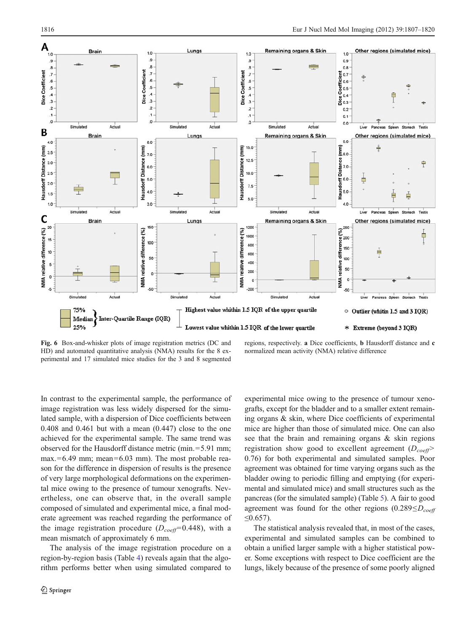<span id="page-9-0"></span>

Fig. 6 Box-and-whisker plots of image registration metrics (DC and HD) and automated quantitative analysis (NMA) results for the 8 experimental and 17 simulated mice studies for the 3 and 8 segmented

regions, respectively. a Dice coefficients, b Hausdorff distance and c normalized mean activity (NMA) relative difference

In contrast to the experimental sample, the performance of image registration was less widely dispersed for the simulated sample, with a dispersion of Dice coefficients between 0.408 and 0.461 but with a mean (0.447) close to the one achieved for the experimental sample. The same trend was observed for the Hausdorff distance metric (min. $=5.91$  mm; max. $=6.49$  mm; mean $=6.03$  mm). The most probable reason for the difference in dispersion of results is the presence of very large morphological deformations on the experimental mice owing to the presence of tumour xenografts. Nevertheless, one can observe that, in the overall sample composed of simulated and experimental mice, a final moderate agreement was reached regarding the performance of the image registration procedure  $(D_{\text{coeff}}=0.448)$ , with a mean mismatch of approximately 6 mm.

The analysis of the image registration procedure on a region-by-region basis (Table [4\)](#page-8-0) reveals again that the algorithm performs better when using simulated compared to experimental mice owing to the presence of tumour xenografts, except for the bladder and to a smaller extent remaining organs & skin, where Dice coefficients of experimental mice are higher than those of simulated mice. One can also see that the brain and remaining organs & skin regions registration show good to excellent agreement  $(D_{coeff} >$ 0.76) for both experimental and simulated samples. Poor agreement was obtained for time varying organs such as the bladder owing to periodic filling and emptying (for experimental and simulated mice) and small structures such as the pancreas (for the simulated sample) (Table [5\)](#page-10-0). A fair to good agreement was found for the other regions  $(0.289 \le D_{coeff})$  $\leq 0.657$ ).

The statistical analysis revealed that, in most of the cases, experimental and simulated samples can be combined to obtain a unified larger sample with a higher statistical power. Some exceptions with respect to Dice coefficient are the lungs, likely because of the presence of some poorly aligned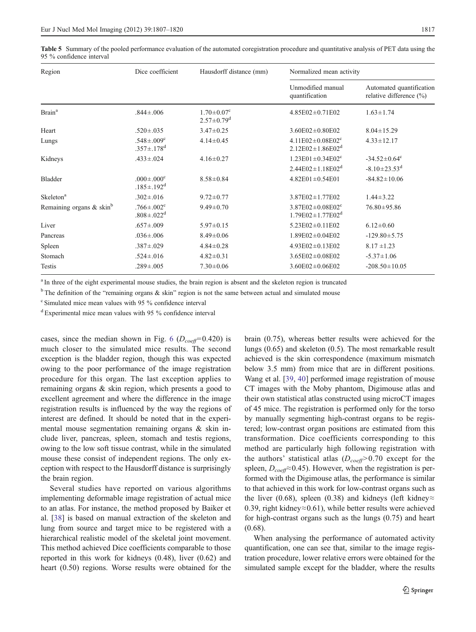<span id="page-10-0"></span>Table 5 Summary of the pooled performance evaluation of the automated coregistration procedure and quantitative analysis of PET data using the 95 % confidence interval

| Region                               | Dice coefficient                                             | Hausdorff distance (mm)                                      | Normalized mean activity                                 |                                                     |
|--------------------------------------|--------------------------------------------------------------|--------------------------------------------------------------|----------------------------------------------------------|-----------------------------------------------------|
|                                      |                                                              |                                                              | Unmodified manual<br>quantification                      | Automated quantification<br>relative difference (%) |
| Brain <sup>a</sup>                   | $.844 \pm .006$                                              | $1.70 \pm 0.07$ <sup>c</sup><br>$2.57 \pm 0.79$ <sup>d</sup> | $4.85E02 \pm 0.71E02$                                    | $1.63 \pm 1.74$                                     |
| Heart                                | $.520 \pm .035$                                              | $3.47 \pm 0.25$                                              | $3.60E02 \pm 0.80E02$                                    | $8.04 \pm 15.29$                                    |
| Lungs                                | $.548 \pm .009^c$<br>$.357 \pm .178$ <sup>d</sup>            | $4.14 \pm 0.45$                                              | $4.11E02 \pm 0.08E02^{\circ}$<br>$2.12E02 \pm 1.86E02^d$ | $4.33 \pm 12.17$                                    |
| Kidneys                              | $.433 \pm .024$                                              | $4.16 \pm 0.27$                                              | $1.23E01 \pm 0.34E02^c$                                  | $-34.52 \pm 0.64$ <sup>c</sup>                      |
|                                      |                                                              |                                                              | $2.44E02 \pm 1.18E02^d$                                  | $-8.10 \pm 23.53$ <sup>d</sup>                      |
| Bladder                              | $.000 \pm .000$ <sup>c</sup><br>$.185 \pm .192$ <sup>d</sup> | $8.58 \pm 0.84$                                              | $4.82E01 \pm 0.54E01$                                    | $-84.82 \pm 10.06$                                  |
| Skeleton <sup>a</sup>                | $.302 \pm .016$                                              | $9.72 \pm 0.77$                                              | $3.87E02 \pm 1.77E02$                                    | $1.44 \pm 3.22$                                     |
| Remaining organs & skin <sup>b</sup> | $.766 \pm .002$ <sup>c</sup><br>$.808 \pm .022$ <sup>d</sup> | $9.49 \pm 0.70$                                              | $3.87E02 \pm 0.08E02^c$<br>$1.79E02 \pm 1.77E02^d$       | 76.80±95.86                                         |
| Liver                                | $.657 \pm .009$                                              | $5.97 \pm 0.15$                                              | $5.23E02 \pm 0.11E02$                                    | $6.12 \pm 0.60$                                     |
| Pancreas                             | $.036 \pm .006$                                              | $8.49 \pm 0.06$                                              | $1.89E02 \pm 0.04E02$                                    | $-129.80 \pm 5.75$                                  |
| Spleen                               | $.387 \pm .029$                                              | $4.84 \pm 0.28$                                              | $4.93E02 \pm 0.13E02$                                    | $8.17 \pm 1.23$                                     |
| Stomach                              | $.524 \pm .016$                                              | $4.82 \pm 0.31$                                              | $3.65E02 \pm 0.08E02$                                    | $-5.37 \pm 1.06$                                    |
| Testis                               | $.289 \pm .005$                                              | $7.30 \pm 0.06$                                              | $3.60E02 \pm 0.06E02$                                    | $-208.50 \pm 10.05$                                 |

<sup>a</sup> In three of the eight experimental mouse studies, the brain region is absent and the skeleton region is truncated

 $b$  The definition of the "remaining organs & skin" region is not the same between actual and simulated mouse

c Simulated mice mean values with 95 % confidence interval

<sup>d</sup> Experimental mice mean values with 95 % confidence interval

cases, since the median shown in Fig. [6](#page-9-0) ( $D_{\text{coeff}}$ =0.420) is much closer to the simulated mice results. The second exception is the bladder region, though this was expected owing to the poor performance of the image registration procedure for this organ. The last exception applies to remaining organs & skin region, which presents a good to excellent agreement and where the difference in the image registration results is influenced by the way the regions of interest are defined. It should be noted that in the experimental mouse segmentation remaining organs & skin include liver, pancreas, spleen, stomach and testis regions, owing to the low soft tissue contrast, while in the simulated mouse these consist of independent regions. The only exception with respect to the Hausdorff distance is surprisingly the brain region.

Several studies have reported on various algorithms implementing deformable image registration of actual mice to an atlas. For instance, the method proposed by Baiker et al. [[38](#page-13-0)] is based on manual extraction of the skeleton and lung from source and target mice to be registered with a hierarchical realistic model of the skeletal joint movement. This method achieved Dice coefficients comparable to those reported in this work for kidneys (0.48), liver (0.62) and heart (0.50) regions. Worse results were obtained for the brain (0.75), whereas better results were achieved for the lungs (0.65) and skeleton (0.5). The most remarkable result achieved is the skin correspondence (maximum mismatch below 3.5 mm) from mice that are in different positions. Wang et al. [\[39](#page-13-0), [40\]](#page-13-0) performed image registration of mouse CT images with the Moby phantom, Digimouse atlas and their own statistical atlas constructed using microCT images of 45 mice. The registration is performed only for the torso by manually segmenting high-contrast organs to be registered; low-contrast organ positions are estimated from this transformation. Dice coefficients corresponding to this method are particularly high following registration with the authors' statistical atlas  $(D_{\text{coeff}} > 0.70$  except for the spleen,  $D_{\text{coeff}} \approx 0.45$ ). However, when the registration is performed with the Digimouse atlas, the performance is similar to that achieved in this work for low-contrast organs such as the liver (0.68), spleen (0.38) and kidneys (left kidney≈ 0.39, right kidney≈0.61), while better results were achieved for high-contrast organs such as the lungs (0.75) and heart (0.68).

When analysing the performance of automated activity quantification, one can see that, similar to the image registration procedure, lower relative errors were obtained for the simulated sample except for the bladder, where the results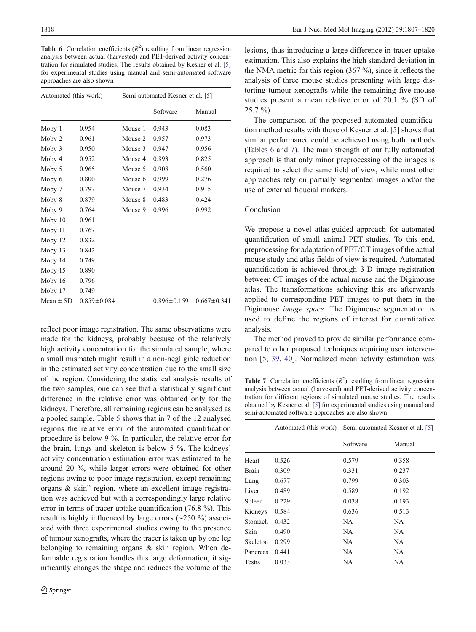<span id="page-11-0"></span>**Table 6** Correlation coefficients  $(R^2)$  resulting from linear regression analysis between actual (harvested) and PET-derived activity concentration for simulated studies. The results obtained by Kesner et al. [\[5](#page-12-0)] for experimental studies using manual and semi-automated software approaches are also shown

| Automated (this work) |                   | Semi-automated Kesner et al. [5] |                   |                   |  |  |
|-----------------------|-------------------|----------------------------------|-------------------|-------------------|--|--|
|                       |                   |                                  | Software          | Manual            |  |  |
| Moby 1                | 0.954             | Mouse 1                          | 0.943             | 0.083             |  |  |
| Moby 2                | 0.961             | Mouse 2                          | 0.957             | 0.973             |  |  |
| Moby 3                | 0.950             | Mouse 3                          | 0.947             | 0.956             |  |  |
| Moby 4                | 0.952             | Mouse 4                          | 0.893             | 0.825             |  |  |
| Moby 5                | 0.965             | Mouse 5                          | 0.908             | 0.560             |  |  |
| Moby 6                | 0.800             | Mouse 6                          | 0.999             | 0.276             |  |  |
| Moby 7                | 0.797             | Mouse 7                          | 0.934             | 0.915             |  |  |
| Moby 8                | 0.879             | Mouse 8                          | 0.483             | 0.424             |  |  |
| Moby 9                | 0.764             | Mouse 9                          | 0.996             | 0.992             |  |  |
| Moby 10               | 0.961             |                                  |                   |                   |  |  |
| Moby 11               | 0.767             |                                  |                   |                   |  |  |
| Moby 12               | 0.832             |                                  |                   |                   |  |  |
| Moby 13               | 0.842             |                                  |                   |                   |  |  |
| Moby 14               | 0.749             |                                  |                   |                   |  |  |
| Moby 15               | 0.890             |                                  |                   |                   |  |  |
| Moby 16               | 0.796             |                                  |                   |                   |  |  |
| Moby 17               | 0.749             |                                  |                   |                   |  |  |
| Mean $\pm$ SD         | $0.859 \pm 0.084$ |                                  | $0.896 \pm 0.159$ | $0.667 \pm 0.341$ |  |  |

reflect poor image registration. The same observations were made for the kidneys, probably because of the relatively high activity concentration for the simulated sample, where a small mismatch might result in a non-negligible reduction in the estimated activity concentration due to the small size of the region. Considering the statistical analysis results of the two samples, one can see that a statistically significant difference in the relative error was obtained only for the kidneys. Therefore, all remaining regions can be analysed as a pooled sample. Table [5](#page-10-0) shows that in 7 of the 12 analysed regions the relative error of the automated quantification procedure is below 9 %. In particular, the relative error for the brain, lungs and skeleton is below 5 %. The kidneys' activity concentration estimation error was estimated to be around 20 %, while larger errors were obtained for other regions owing to poor image registration, except remaining organs & skin" region, where an excellent image registration was achieved but with a correspondingly large relative error in terms of tracer uptake quantification (76.8 %). This result is highly influenced by large errors (∼250 %) associated with three experimental studies owing to the presence of tumour xenografts, where the tracer is taken up by one leg belonging to remaining organs & skin region. When deformable registration handles this large deformation, it significantly changes the shape and reduces the volume of the

lesions, thus introducing a large difference in tracer uptake estimation. This also explains the high standard deviation in the NMA metric for this region (367 %), since it reflects the analysis of three mouse studies presenting with large distorting tumour xenografts while the remaining five mouse studies present a mean relative error of 20.1 % (SD of 25.7 %).

The comparison of the proposed automated quantification method results with those of Kesner et al. [[5\]](#page-12-0) shows that similar performance could be achieved using both methods (Tables 6 and 7). The main strength of our fully automated approach is that only minor preprocessing of the images is required to select the same field of view, while most other approaches rely on partially segmented images and/or the use of external fiducial markers.

## Conclusion

We propose a novel atlas-guided approach for automated quantification of small animal PET studies. To this end, preprocessing for adaptation of PET/CT images of the actual mouse study and atlas fields of view is required. Automated quantification is achieved through 3-D image registration between CT images of the actual mouse and the Digimouse atlas. The transformations achieving this are afterwards applied to corresponding PET images to put them in the Digimouse image space. The Digimouse segmentation is used to define the regions of interest for quantitative analysis.

The method proved to provide similar performance compared to other proposed techniques requiring user intervention [\[5](#page-12-0), [39,](#page-13-0) [40\]](#page-13-0). Normalized mean activity estimation was

**Table 7** Correlation coefficients  $(R^2)$  resulting from linear regression analysis between actual (harvested) and PET-derived activity concentration for different regions of simulated mouse studies. The results obtained by Kesner et al. [[5](#page-12-0)] for experimental studies using manual and semi-automated software approaches are also shown

|               | Automated (this work) | Semi-automated Kesner et al. [5] |        |  |
|---------------|-----------------------|----------------------------------|--------|--|
|               |                       | Software                         | Manual |  |
| Heart         | 0.526                 | 0.579                            | 0.358  |  |
| <b>Brain</b>  | 0.309                 | 0.331                            | 0.237  |  |
| Lung          | 0.677                 | 0.799                            | 0.303  |  |
| Liver         | 0.489                 | 0.589                            | 0.192  |  |
| Spleen        | 0.229                 | 0.038                            | 0.193  |  |
| Kidneys       | 0.584                 | 0.636                            | 0.513  |  |
| Stomach       | 0.432                 | NA.                              | NA.    |  |
| Skin          | 0.490                 | NA                               | NA     |  |
| Skeleton      | 0.299                 | NA.                              | NA     |  |
| Pancreas      | 0.441                 | NA.                              | NA.    |  |
| <b>Testis</b> | 0.033                 | NA                               | NA     |  |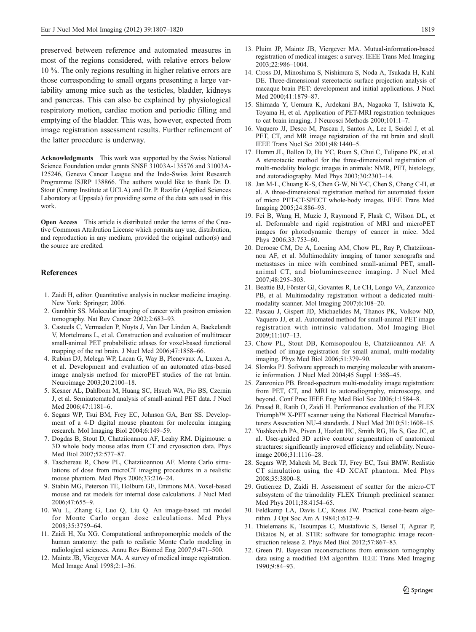<span id="page-12-0"></span>preserved between reference and automated measures in most of the regions considered, with relative errors below 10 %. The only regions resulting in higher relative errors are those corresponding to small organs presenting a large variability among mice such as the testicles, bladder, kidneys and pancreas. This can also be explained by physiological respiratory motion, cardiac motion and periodic filling and emptying of the bladder. This was, however, expected from image registration assessment results. Further refinement of the latter procedure is underway.

Acknowledgments This work was supported by the Swiss National Science Foundation under grants SNSF 31003A-135576 and 31003A-125246, Geneva Cancer League and the Indo-Swiss Joint Research Programme ISJRP 138866. The authors would like to thank Dr. D. Stout (Crump Institute at UCLA) and Dr. P. Razifar (Applied Sciences Laboratory at Uppsala) for providing some of the data sets used in this work.

Open Access This article is distributed under the terms of the Creative Commons Attribution License which permits any use, distribution, and reproduction in any medium, provided the original author(s) and the source are credited.

#### References

- 1. Zaidi H, editor. Quantitative analysis in nuclear medicine imaging. New York: Springer; 2006.
- 2. Gambhir SS. Molecular imaging of cancer with positron emission tomography. Nat Rev Cancer 2002;2:683–93.
- 3. Casteels C, Vermaelen P, Nuyts J, Van Der Linden A, Baekelandt V, Mortelmans L, et al. Construction and evaluation of multitracer small-animal PET probabilistic atlases for voxel-based functional mapping of the rat brain. J Nucl Med 2006;47:1858–66.
- 4. Rubins DJ, Melega WP, Lacan G, Way B, Plenevaux A, Luxen A, et al. Development and evaluation of an automated atlas-based image analysis method for microPET studies of the rat brain. Neuroimage 2003;20:2100–18.
- 5. Kesner AL, Dahlbom M, Huang SC, Hsueh WA, Pio BS, Czernin J, et al. Semiautomated analysis of small-animal PET data. J Nucl Med 2006;47:1181–6.
- 6. Segars WP, Tsui BM, Frey EC, Johnson GA, Berr SS. Development of a 4-D digital mouse phantom for molecular imaging research. Mol Imaging Biol 2004;6:149–59.
- 7. Dogdas B, Stout D, Chatziioannou AF, Leahy RM. Digimouse: a 3D whole body mouse atlas from CT and cryosection data. Phys Med Biol 2007;52:577–87.
- 8. Taschereau R, Chow PL, Chatziioannou AF. Monte Carlo simulations of dose from microCT imaging procedures in a realistic mouse phantom. Med Phys 2006;33:216–24.
- 9. Stabin MG, Peterson TE, Holburn GE, Emmons MA. Voxel-based mouse and rat models for internal dose calculations. J Nucl Med 2006;47:655–9.
- 10. Wu L, Zhang G, Luo Q, Liu Q. An image-based rat model for Monte Carlo organ dose calculations. Med Phys 2008;35:3759–64.
- 11. Zaidi H, Xu XG. Computational anthropomorphic models of the human anatomy: the path to realistic Monte Carlo modeling in radiological sciences. Annu Rev Biomed Eng 2007;9:471–500.
- 12. Maintz JB, Viergever MA. A survey of medical image registration. Med Image Anal 1998;2:1–36.
- 13. Pluim JP, Maintz JB, Viergever MA. Mutual-information-based registration of medical images: a survey. IEEE Trans Med Imaging 2003;22:986–1004.
- 14. Cross DJ, Minoshima S, Nishimura S, Noda A, Tsukada H, Kuhl DE. Three-dimensional stereotactic surface projection analysis of macaque brain PET: development and initial applications. J Nucl Med 2000;41:1879–87.
- 15. Shimada Y, Uemura K, Ardekani BA, Nagaoka T, Ishiwata K, Toyama H, et al. Application of PET-MRI registration techniques to cat brain imaging. J Neurosci Methods 2000;101:1–7.
- 16. Vaquero JJ, Desco M, Pascau J, Santos A, Lee I, Seidel J, et al. PET, CT, and MR image registration of the rat brain and skull. IEEE Trans Nucl Sci 2001;48:1440–5.
- 17. Humm JL, Ballon D, Hu YC, Ruan S, Chui C, Tulipano PK, et al. A stereotactic method for the three-dimensional registration of multi-modality biologic images in animals: NMR, PET, histology, and autoradiography. Med Phys 2003;30:2303–14.
- 18. Jan M-L, Chuang K-S, Chen G-W, Ni Y-C, Chen S, Chang C-H, et al. A three-dimensional registration method for automated fusion of micro PET-CT-SPECT whole-body images. IEEE Trans Med Imaging 2005;24:886–93.
- 19. Fei B, Wang H, Muzic J, Raymond F, Flask C, Wilson DL, et al. Deformable and rigid registration of MRI and microPET images for photodynamic therapy of cancer in mice. Med Phys 2006;33:753–60.
- 20. Deroose CM, De A, Loening AM, Chow PL, Ray P, Chatziioannou AF, et al. Multimodality imaging of tumor xenografts and metastases in mice with combined small-animal PET, smallanimal CT, and bioluminescence imaging. J Nucl Med 2007;48:295–303.
- 21. Beattie BJ, Förster GJ, Govantes R, Le CH, Longo VA, Zanzonico PB, et al. Multimodality registration without a dedicated multimodality scanner. Mol Imaging 2007;6:108–20.
- 22. Pascau J, Gispert JD, Michaelides M, Thanos PK, Volkow ND, Vaquero JJ, et al. Automated method for small-animal PET image registration with intrinsic validation. Mol Imaging Biol 2009;11:107–13.
- 23. Chow PL, Stout DB, Komisopoulou E, Chatziioannou AF. A method of image registration for small animal, multi-modality imaging. Phys Med Biol 2006;51:379–90.
- 24. Slomka PJ. Software approach to merging molecular with anatomic information. J Nucl Med 2004;45 Suppl 1:36S–45.
- 25. Zanzonico PB. Broad-spectrum multi-modality image registration: from PET, CT, and MRI to autoradiography, microscopy, and beyond. Conf Proc IEEE Eng Med Biol Soc 2006;1:1584–8.
- 26. Prasad R, Ratib O, Zaidi H. Performance evaluation of the FLEX Triumph™ X-PET scanner using the National Electrical Manufacturers Association NU-4 standards. J Nucl Med 2010;51:1608–15.
- 27. Yushkevich PA, Piven J, Hazlett HC, Smith RG, Ho S, Gee JC, et al. User-guided 3D active contour segmentation of anatomical structures: significantly improved efficiency and reliability. Neuroimage 2006;31:1116–28.
- 28. Segars WP, Mahesh M, Beck TJ, Frey EC, Tsui BMW. Realistic CT simulation using the 4D XCAT phantom. Med Phys 2008;35:3800–8.
- 29. Gutierrez D, Zaidi H. Assessment of scatter for the micro-CT subsystem of the trimodality FLEX Triumph preclinical scanner. Med Phys 2011;38:4154–65.
- 30. Feldkamp LA, Davis LC, Kress JW. Practical cone-beam algorithm. J Opt Soc Am A 1984;1:612–9.
- 31. Thielemans K, Tsoumpas C, Mustafovic S, Beisel T, Aguiar P, Dikaios N, et al. STIR: software for tomographic image reconstruction release 2. Phys Med Biol 2012;57:867–83.
- 32. Green PJ. Bayesian reconstructions from emission tomography data using a modified EM algorithm. IEEE Trans Med Imaging 1990;9:84–93.